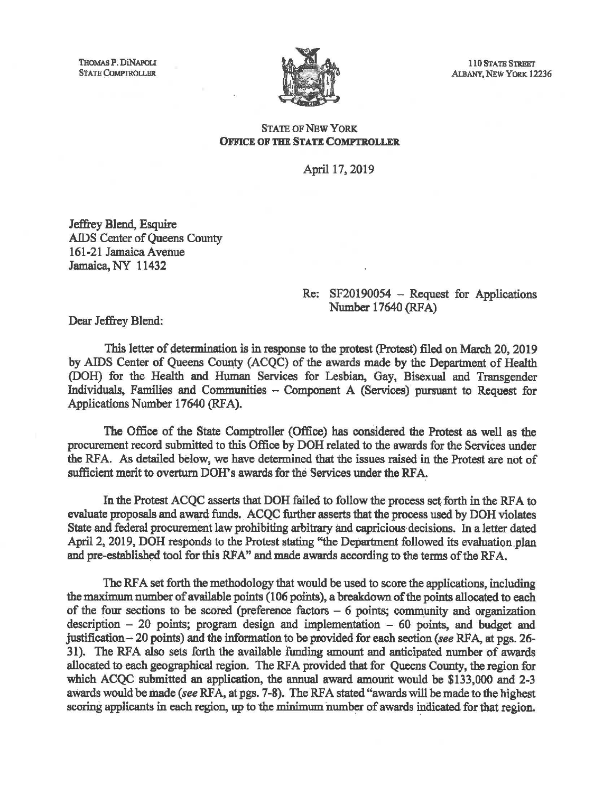

110 STATE STREET ALBANY, NEW YORK 12236

## STATE OF NEW YORK: OFFICE OF THE STATE COMPTROLLER

April 17, 2019

Jeffrey Blend, Esquire AIDS Center of Queens County 161-21 Jamaica Avenue Jamaica, NY 11432

## Re: SF20190054 - Request for Applications Number 17640 (RFA)

Dear Jeffrey Blend:

This letter of determination is in response to the protest (Protest) filed on March 20, 2019 by AIDS Center of Queens County (ACQC) of the awards made by the Department of Health (DOH) for the Health and Human Services for Lesbian, Gay, Bisexual and Transgender Individuals, Families and Communities - Component A (Services) pursuant to Request for Applications Number 17640 (RFA).

The Office of the State Comptroller (Office) has considered the Protest as well as the procurement record submitted to this Office by DOH related to the awards for the Services under the RFA. As detailed below, we have determined that the issues raised in the Protest are not of sufficient merit to overturn DOH's awards for the Services under the RFA.

In the Protest ACQC asserts that DOH failed to follow the process set forth in the RFA to evaluate proposals and award funds. ACQC further asserts that the process used by DOH violates State and federal procurement law prohibiting arbitrary and capricious decisions. In a letter dated April 2, 2019, DOH responds to the Protest stating "the Department followed its evaluation plan and pre-established tool for this RFA" and made awards according to the terms of the RFA.

The RFA set forth the methodology that would be used to score the applications, including the maximum number of available points (106 points), a breakdown of the points allocated to each of the four sections to be scored (preference factors  $-6$  points; community and organization description  $-20$  points; program design and implementation  $-60$  points, and budget and justification  $-20$  points) and the information to be provided for each section *(see RFA, at pgs. 26-*31). The RFA also sets forth the available funding amount and anticipated number of awards allocated to each geographical region. The RFA provided that for Queens County, the region for which ACQC submitted an application, the annual award amount would be  $$133,000$  and  $2-3$ awards would be made *(see RFA, at pgs. 7-8)*. The RFA stated "awards will be made to the highest scoring applicants in each region, up to the minimum number of awards indicated for that region.